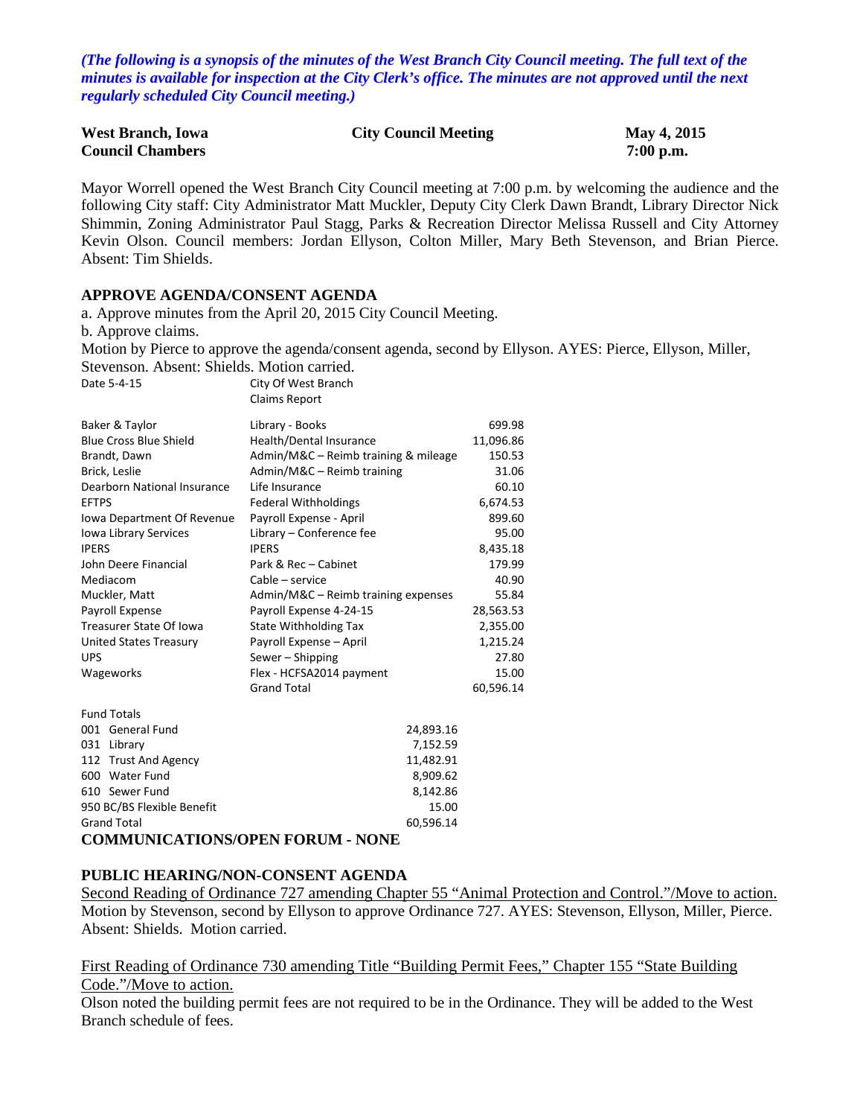*(The following is a synopsis of the minutes of the West Branch City Council meeting. The full text of the minutes is available for inspection at the City Clerk's office. The minutes are not approved until the next regularly scheduled City Council meeting.)*

| <b>West Branch, Iowa</b> | <b>City Council Meeting</b> | May 4, 2015 |
|--------------------------|-----------------------------|-------------|
| <b>Council Chambers</b>  |                             | $7:00$ p.m. |

Mayor Worrell opened the West Branch City Council meeting at 7:00 p.m. by welcoming the audience and the following City staff: City Administrator Matt Muckler, Deputy City Clerk Dawn Brandt, Library Director Nick Shimmin, Zoning Administrator Paul Stagg, Parks & Recreation Director Melissa Russell and City Attorney Kevin Olson. Council members: Jordan Ellyson, Colton Miller, Mary Beth Stevenson, and Brian Pierce. Absent: Tim Shields.

### **APPROVE AGENDA/CONSENT AGENDA**

a. Approve minutes from the April 20, 2015 City Council Meeting. b. Approve claims. Motion by Pierce to approve the agenda/consent agenda, second by Ellyson. AYES: Pierce, Ellyson, Miller,

Stevenson. Absent: Shields. Motion carried. Date 5-4-15 City Of West Branch

|                                | <b>Claims Report</b>                 |           |
|--------------------------------|--------------------------------------|-----------|
| Baker & Taylor                 | Library - Books                      | 699.98    |
| <b>Blue Cross Blue Shield</b>  | Health/Dental Insurance              | 11,096.86 |
| Brandt, Dawn                   | Admin/M&C - Reimb training & mileage | 150.53    |
| Brick, Leslie                  | Admin/M&C - Reimb training           | 31.06     |
| Dearborn National Insurance    | Life Insurance                       | 60.10     |
| <b>EFTPS</b>                   | <b>Federal Withholdings</b>          | 6,674.53  |
| Iowa Department Of Revenue     | Payroll Expense - April              | 899.60    |
| Iowa Library Services          | Library - Conference fee             | 95.00     |
| <b>IPERS</b>                   | <b>IPERS</b>                         | 8,435.18  |
| John Deere Financial           | Park & Rec - Cabinet                 | 179.99    |
| Mediacom                       | Cable – service                      | 40.90     |
| Muckler, Matt                  | Admin/M&C – Reimb training expenses  | 55.84     |
| Payroll Expense                | Payroll Expense 4-24-15              | 28,563.53 |
| <b>Treasurer State Of Iowa</b> | <b>State Withholding Tax</b>         | 2,355.00  |
| United States Treasury         | Payroll Expense - April              | 1,215.24  |
| <b>UPS</b>                     | Sewer - Shipping                     | 27.80     |
| Wageworks                      | Flex - HCFSA2014 payment             | 15.00     |
|                                | <b>Grand Total</b>                   | 60,596.14 |
| <b>Fund Totals</b>             |                                      |           |
| 001 General Fund               | 24,893.16                            |           |
| 031<br>Library                 | 7,152.59                             |           |
| 112 Trust And Agency           | 11,482.91                            |           |
| 600 Water Fund                 | 8,909.62                             |           |
| 610 Sewer Fund                 | 8,142.86                             |           |
| 950 BC/BS Flexible Benefit     | 15.00                                |           |
| <b>Grand Total</b>             | 60,596.14                            |           |

### **COMMUNICATIONS/OPEN FORUM - NONE**

#### **PUBLIC HEARING/NON-CONSENT AGENDA**

Second Reading of Ordinance 727 amending Chapter 55 "Animal Protection and Control."/Move to action. Motion by Stevenson, second by Ellyson to approve Ordinance 727. AYES: Stevenson, Ellyson, Miller, Pierce. Absent: Shields. Motion carried.

First Reading of Ordinance 730 amending Title "Building Permit Fees," Chapter 155 "State Building Code."/Move to action.

Olson noted the building permit fees are not required to be in the Ordinance. They will be added to the West Branch schedule of fees.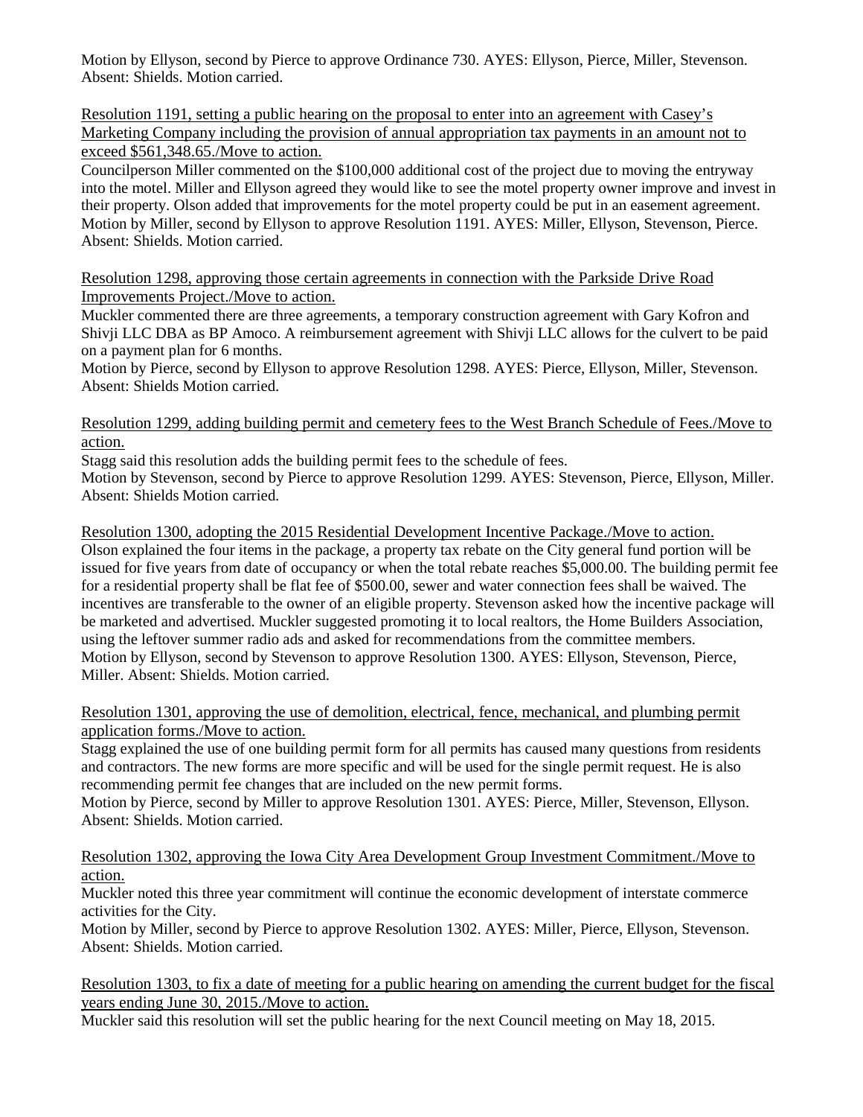Motion by Ellyson, second by Pierce to approve Ordinance 730. AYES: Ellyson, Pierce, Miller, Stevenson. Absent: Shields. Motion carried.

Resolution 1191, setting a public hearing on the proposal to enter into an agreement with Casey's Marketing Company including the provision of annual appropriation tax payments in an amount not to exceed \$561,348.65./Move to action.

Councilperson Miller commented on the \$100,000 additional cost of the project due to moving the entryway into the motel. Miller and Ellyson agreed they would like to see the motel property owner improve and invest in their property. Olson added that improvements for the motel property could be put in an easement agreement. Motion by Miller, second by Ellyson to approve Resolution 1191. AYES: Miller, Ellyson, Stevenson, Pierce. Absent: Shields. Motion carried.

Resolution 1298, approving those certain agreements in connection with the Parkside Drive Road Improvements Project./Move to action.

Muckler commented there are three agreements, a temporary construction agreement with Gary Kofron and Shivji LLC DBA as BP Amoco. A reimbursement agreement with Shivji LLC allows for the culvert to be paid on a payment plan for 6 months.

Motion by Pierce, second by Ellyson to approve Resolution 1298. AYES: Pierce, Ellyson, Miller, Stevenson. Absent: Shields Motion carried.

Resolution 1299, adding building permit and cemetery fees to the West Branch Schedule of Fees./Move to action.

Stagg said this resolution adds the building permit fees to the schedule of fees.

Motion by Stevenson, second by Pierce to approve Resolution 1299. AYES: Stevenson, Pierce, Ellyson, Miller. Absent: Shields Motion carried.

Resolution 1300, adopting the 2015 Residential Development Incentive Package./Move to action.

Olson explained the four items in the package, a property tax rebate on the City general fund portion will be issued for five years from date of occupancy or when the total rebate reaches \$5,000.00. The building permit fee for a residential property shall be flat fee of \$500.00, sewer and water connection fees shall be waived. The incentives are transferable to the owner of an eligible property. Stevenson asked how the incentive package will be marketed and advertised. Muckler suggested promoting it to local realtors, the Home Builders Association, using the leftover summer radio ads and asked for recommendations from the committee members. Motion by Ellyson, second by Stevenson to approve Resolution 1300. AYES: Ellyson, Stevenson, Pierce, Miller. Absent: Shields. Motion carried.

Resolution 1301, approving the use of demolition, electrical, fence, mechanical, and plumbing permit application forms./Move to action.

Stagg explained the use of one building permit form for all permits has caused many questions from residents and contractors. The new forms are more specific and will be used for the single permit request. He is also recommending permit fee changes that are included on the new permit forms.

Motion by Pierce, second by Miller to approve Resolution 1301. AYES: Pierce, Miller, Stevenson, Ellyson. Absent: Shields. Motion carried.

Resolution 1302, approving the Iowa City Area Development Group Investment Commitment./Move to action.

Muckler noted this three year commitment will continue the economic development of interstate commerce activities for the City.

Motion by Miller, second by Pierce to approve Resolution 1302. AYES: Miller, Pierce, Ellyson, Stevenson. Absent: Shields. Motion carried.

Resolution 1303, to fix a date of meeting for a public hearing on amending the current budget for the fiscal years ending June 30, 2015./Move to action.

Muckler said this resolution will set the public hearing for the next Council meeting on May 18, 2015.